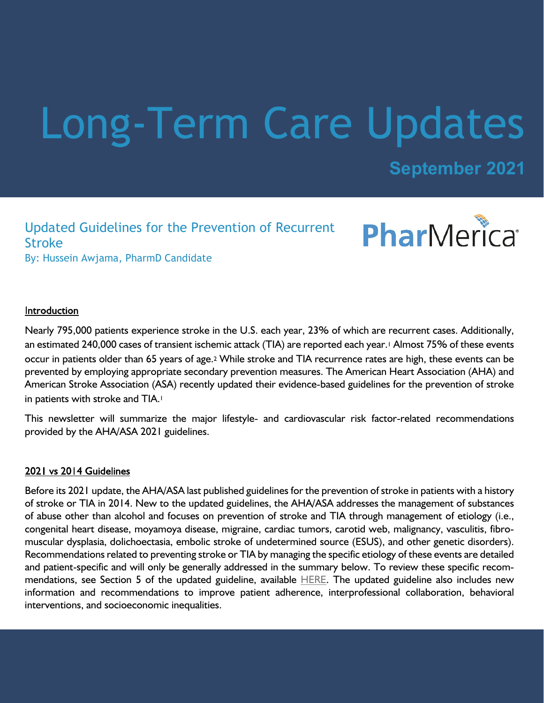# Long-Term Care Updates

**September 2021**

Updated Guidelines for the Prevention of Recurrent Stroke By: Hussein Awjama, PharmD Candidate



#### Introduction

Nearly 795,000 patients experience stroke in the U.S. each year, 23% of which are recurrent cases. Additionally, an estimated 240,000 cases of transient ischemic attack (TIA) are reported each year.<sup>1</sup> Almost 75% of these events occur in patients older than 65 years of age.2 While stroke and TIA recurrence rates are high, these events can be prevented by employing appropriate secondary prevention measures. The American Heart Association (AHA) and American Stroke Association (ASA) recently updated their evidence-based guidelines for the prevention of stroke in patients with stroke and TIA.<sup>1</sup>

This newsletter will summarize the major lifestyle- and cardiovascular risk factor-related recommendations provided by the AHA/ASA 2021 guidelines.

#### 2021 vs 2014 Guidelines

Before its 2021 update, the AHA/ASA last published guidelines for the prevention of stroke in patients with a history of stroke or TIA in 2014. New to the updated guidelines, the AHA/ASA addresses the management of substances of abuse other than alcohol and focuses on prevention of stroke and TIA through management of etiology (i.e., congenital heart disease, moyamoya disease, migraine, cardiac tumors, carotid web, malignancy, vasculitis, fibromuscular dysplasia, dolichoectasia, embolic stroke of undetermined source (ESUS), and other genetic disorders). Recommendations related to preventing stroke or TIA by managing the specific etiology of these events are detailed and patient-specific and will only be generally addressed in the summary below. To review these specific recommendations, see Section 5 of the updated guideline, available [HERE](https://www.ahajournals.org/doi/full/10.1161/STR.0000000000000375). The updated guideline also includes new information and recommendations to improve patient adherence, interprofessional collaboration, behavioral interventions, and socioeconomic inequalities.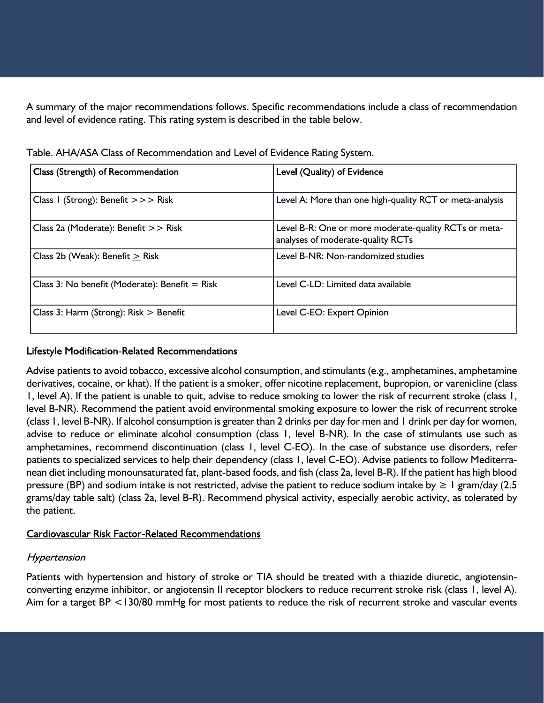A summary of the major recommendations follows. Specific recommendations include a class of recommendation and level of evidence rating. This rating system is described in the table below.

| Class (Strength) of Recommendation               | Level (Quality) of Evidence                                                                |
|--------------------------------------------------|--------------------------------------------------------------------------------------------|
| Class I (Strong): Benefit $>>$ Risk              | Level A: More than one high-quality RCT or meta-analysis                                   |
| Class 2a (Moderate): Benefit >> Risk             | Level B-R: One or more moderate-quality RCTs or meta-<br>analyses of moderate-quality RCTs |
| Class 2b (Weak): Benefit $>$ Risk                | Level B-NR: Non-randomized studies                                                         |
| Class 3: No benefit (Moderate): Benefit $=$ Risk | Level C-LD: Limited data available                                                         |
| Class 3: Harm (Strong): $Risk$ > Benefit         | Level C-EO: Expert Opinion                                                                 |

Table. AHA/ASA Class of Recommendation and Level of Evidence Rating System.

## Lifestyle Modification-Related Recommendations

Advise patients to avoid tobacco, excessive alcohol consumption, and stimulants (e.g., amphetamines, amphetamine derivatives, cocaine, or khat). If the patient is a smoker, offer nicotine replacement, bupropion, or varenicline (class 1, level A). If the patient is unable to quit, advise to reduce smoking to lower the risk of recurrent stroke (class 1, level B-NR). Recommend the patient avoid environmental smoking exposure to lower the risk of recurrent stroke (class 1, level B-NR). If alcohol consumption is greater than 2 drinks per day for men and 1 drink per day for women, advise to reduce or eliminate alcohol consumption (class 1, level B-NR). In the case of stimulants use such as amphetamines, recommend discontinuation (class 1, level C-EO). In the case of substance use disorders, refer patients to specialized services to help their dependency (class 1, level C-EO). Advise patients to follow Mediterranean diet including monounsaturated fat, plant-based foods, and fish (class 2a, level B-R). If the patient has high blood pressure (BP) and sodium intake is not restricted, advise the patient to reduce sodium intake by  $\geq 1$  gram/day (2.5 grams/day table salt) (class 2a, level B-R). Recommend physical activity, especially aerobic activity, as tolerated by the patient.

# **Cardiovascular Risk Factor-Related Recommendations**

# Hypertension

Patients with hypertension and history of stroke or TIA should be treated with a thiazide diuretic, angiotensinconverting enzyme inhibitor, or angiotensin II receptor blockers to reduce recurrent stroke risk (class 1, level A). Aim for a target BP <130/80 mmHg for most patients to reduce the risk of recurrent stroke and vascular events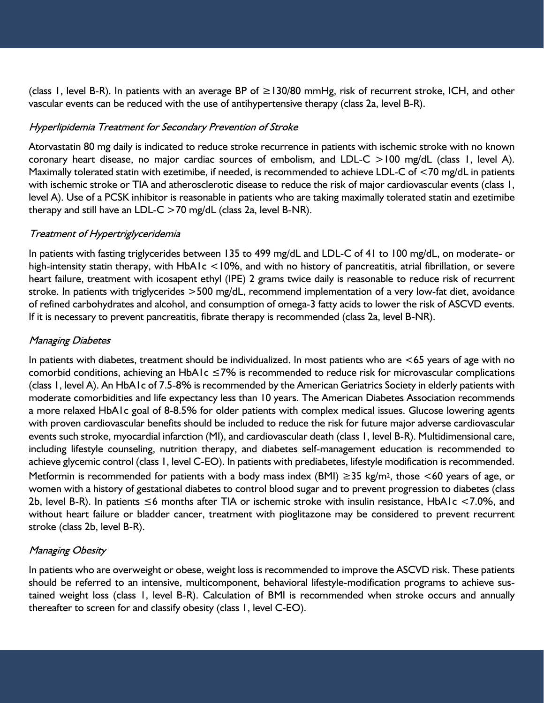(class 1, level B-R). In patients with an average BP of ≥130/80 mmHg, risk of recurrent stroke, ICH, and other vascular events can be reduced with the use of antihypertensive therapy (class 2a, level B-R).

### Hyperlipidemia Treatment for Secondary Prevention of Stroke

Atorvastatin 80 mg daily is indicated to reduce stroke recurrence in patients with ischemic stroke with no known coronary heart disease, no major cardiac sources of embolism, and LDL-C >100 mg/dL (class 1, level A). Maximally tolerated statin with ezetimibe, if needed, is recommended to achieve LDL-C of <70 mg/dL in patients with ischemic stroke or TIA and atherosclerotic disease to reduce the risk of major cardiovascular events (class 1, level A). Use of a PCSK inhibitor is reasonable in patients who are taking maximally tolerated statin and ezetimibe therapy and still have an LDL-C  $>$  70 mg/dL (class 2a, level B-NR).

### Treatment of Hypertriglyceridemia

In patients with fasting triglycerides between 135 to 499 mg/dL and LDL-C of 41 to 100 mg/dL, on moderate- or high-intensity statin therapy, with HbA1c <10%, and with no history of pancreatitis, atrial fibrillation, or severe heart failure, treatment with icosapent ethyl (IPE) 2 grams twice daily is reasonable to reduce risk of recurrent stroke. In patients with triglycerides >500 mg/dL, recommend implementation of a very low-fat diet, avoidance of refined carbohydrates and alcohol, and consumption of omega-3 fatty acids to lower the risk of ASCVD events. If it is necessary to prevent pancreatitis, fibrate therapy is recommended (class 2a, level B-NR).

# **Managing Diabetes**

In patients with diabetes, treatment should be individualized. In most patients who are <65 years of age with no comorbid conditions, achieving an HbA1c ≤7% is recommended to reduce risk for microvascular complications (class 1, level A). An HbA1c of 7.5-8% is recommended by the American Geriatrics Society in elderly patients with moderate comorbidities and life expectancy less than 10 years. The American Diabetes Association recommends a more relaxed HbA1c goal of 8-8.5% for older patients with complex medical issues. Glucose lowering agents with proven cardiovascular benefits should be included to reduce the risk for future major adverse cardiovascular events such stroke, myocardial infarction (MI), and cardiovascular death (class 1, level B-R). Multidimensional care, including lifestyle counseling, nutrition therapy, and diabetes self-management education is recommended to achieve glycemic control (class 1, level C-EO). In patients with prediabetes, lifestyle modification is recommended. Metformin is recommended for patients with a body mass index (BMI)  $\geq$ 35 kg/m<sup>2</sup>, those <60 years of age, or women with a history of gestational diabetes to control blood sugar and to prevent progression to diabetes (class 2b, level B-R). In patients ≤6 months after TIA or ischemic stroke with insulin resistance, HbA1c <7.0%, and without heart failure or bladder cancer, treatment with pioglitazone may be considered to prevent recurrent stroke (class 2b, level B-R).

### **Managing Obesity**

In patients who are overweight or obese, weight loss is recommended to improve the ASCVD risk. These patients should be referred to an intensive, multicomponent, behavioral lifestyle-modification programs to achieve sustained weight loss (class 1, level B-R). Calculation of BMI is recommended when stroke occurs and annually thereafter to screen for and classify obesity (class 1, level C-EO).